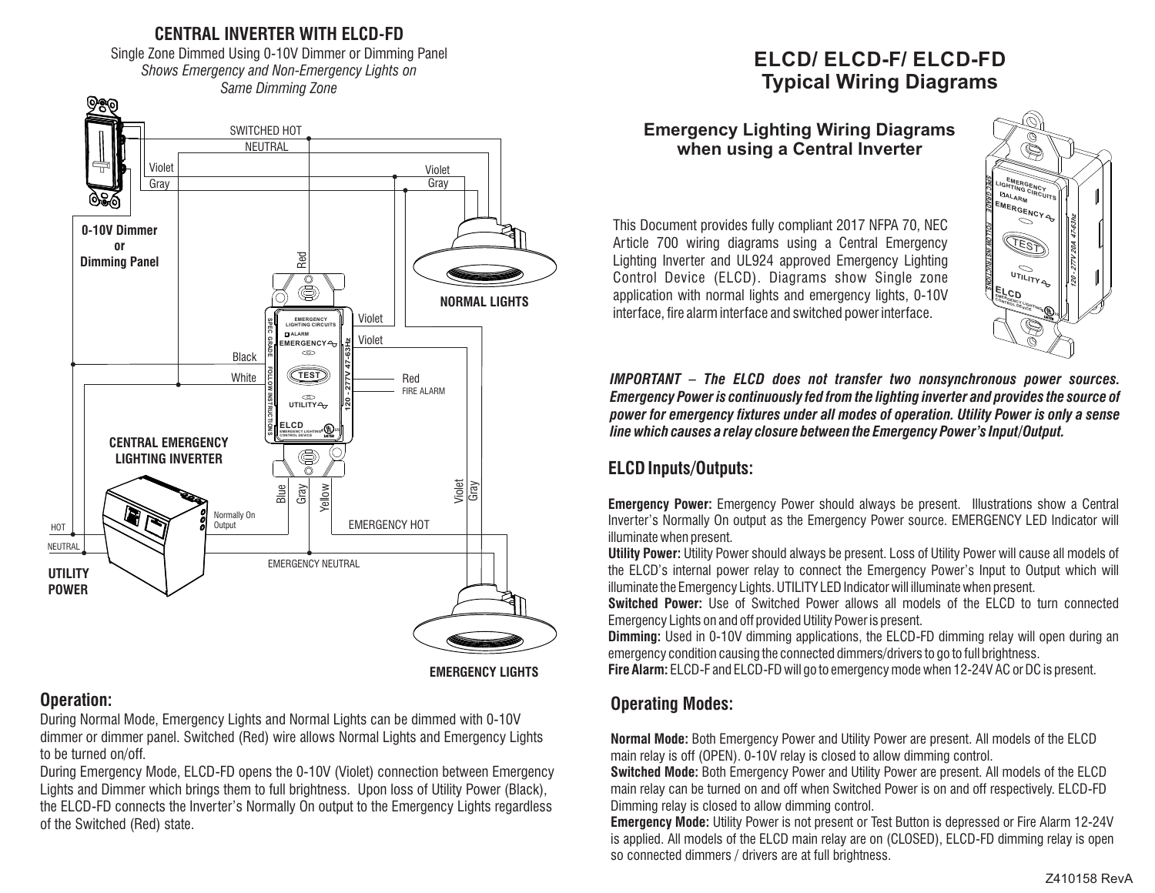

**EMERGENCY LIGHTS**

### **Operation:**

During Normal Mode, Emergency Lights and Normal Lights can be dimmed with 0-10V dimmer or dimmer panel. Switched (Red) wire allows Normal Lights and Emergency Lights to be turned on/off.

During Emergency Mode, ELCD-FD opens the 0-10V (Violet) connection between Emergency Lights and Dimmer which brings them to full brightness. Upon loss of Utility Power (Black), the ELCD-FD connects the Inverter's Normally On output to the Emergency Lights regardless of the Switched (Red) state.

# **ELCD/ ELCD-F/ ELCD-FD Typical Wiring Diagrams**

### **Emergency Lighting Wiring Diagrams when using a Central Inverter**

This Document provides fully compliant 2017 NFPA 70, NEC Article 700 wiring diagrams using a Central Emergency Lighting Inverter and UL924 approved Emergency Lighting Control Device (ELCD). Diagrams show Single zone application with normal lights and emergency lights, 0-10V interface, fire alarm interface and switched power interface.



*IMPORTANT – The ELCD does not transfer two nonsynchronous power sources. Emergency Power is continuously fed from the lighting inverter and provides the source of power for emergency xtures under all modes of operation. Utility Power is only a sense line which causes a relay closure between the Emergency Power's Input/Output.*

# **ELCD Inputs/Outputs:**

**Emergency Power:** Emergency Power should always be present. Illustrations show a Central Inverter's Normally On output as the Emergency Power source. EMERGENCY LED Indicator will illuminate when present.

**Utility Power:** Utility Power should always be present. Loss of Utility Power will cause all models of the ELCD's internal power relay to connect the Emergency Power's Input to Output which will illuminate the Emergency Lights. UTILITY LED Indicator will illuminate when present.

**Switched Power:** Use of Switched Power allows all models of the ELCD to turn connected Emergency Lights on and off provided Utility Power is present.

**Dimming:** Used in 0-10V dimming applications, the ELCD-FD dimming relay will open during an emergency condition causing the connected dimmers/drivers to go to full brightness.

**Fire Alarm:** ELCD-F and ELCD-FD will go to emergency mode when 12-24V AC or DC is present.

# **Operating Modes:**

**Normal Mode:** Both Emergency Power and Utility Power are present. All models of the ELCD main relay is off (OPEN). 0-10V relay is closed to allow dimming control.

**Switched Mode:** Both Emergency Power and Utility Power are present. All models of the ELCD main relay can be turned on and off when Switched Power is on and off respectively. ELCD-FD Dimming relay is closed to allow dimming control.

**Emergency Mode:** Utility Power is not present or Test Button is depressed or Fire Alarm 12-24V is applied. All models of the ELCD main relay are on (CLOSED), ELCD-FD dimming relay is open so connected dimmers / drivers are at full brightness.